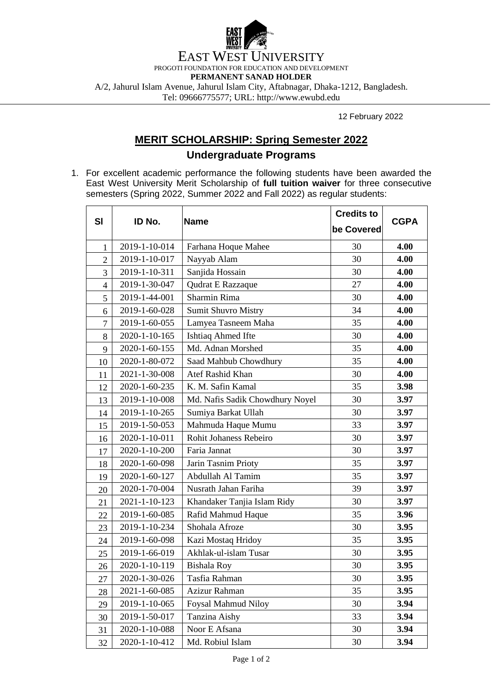

February 2022

## **MERIT SCHOLARSHIP: Spring Semester 2022 Undergraduate Programs**

1. For excellent academic performance the following students have been awarded the East West University Merit Scholarship of **full tuition waiver** for three consecutive semesters (Spring 2022, Summer 2022 and Fall 2022) as regular students:

|                |               | <b>Name</b>                     | <b>Credits to</b> |             |
|----------------|---------------|---------------------------------|-------------------|-------------|
| SI             | ID No.        |                                 | be Covered        | <b>CGPA</b> |
| $\mathbf{1}$   | 2019-1-10-014 | Farhana Hoque Mahee             | 30                | 4.00        |
| $\overline{2}$ | 2019-1-10-017 | Nayyab Alam                     | 30                | 4.00        |
| 3              | 2019-1-10-311 | Sanjida Hossain                 | 30                | 4.00        |
| $\overline{4}$ | 2019-1-30-047 | Qudrat E Razzaque               | 27                | 4.00        |
| 5              | 2019-1-44-001 | Sharmin Rima                    | 30                | 4.00        |
| 6              | 2019-1-60-028 | <b>Sumit Shuvro Mistry</b>      | 34                | 4.00        |
| $\overline{7}$ | 2019-1-60-055 | Lamyea Tasneem Maha             | 35                | 4.00        |
| 8              | 2020-1-10-165 | Ishtiaq Ahmed Ifte              | 30                | 4.00        |
| 9              | 2020-1-60-155 | Md. Adnan Morshed               | 35                | 4.00        |
| 10             | 2020-1-80-072 | Saad Mahbub Chowdhury           | 35                | 4.00        |
| 11             | 2021-1-30-008 | Atef Rashid Khan                | 30                | 4.00        |
| 12             | 2020-1-60-235 | K. M. Safin Kamal               | 35                | 3.98        |
| 13             | 2019-1-10-008 | Md. Nafis Sadik Chowdhury Noyel | 30                | 3.97        |
| 14             | 2019-1-10-265 | Sumiya Barkat Ullah             | 30                | 3.97        |
| 15             | 2019-1-50-053 | Mahmuda Haque Mumu              | 33                | 3.97        |
| 16             | 2020-1-10-011 | Rohit Johaness Rebeiro          | 30                | 3.97        |
| 17             | 2020-1-10-200 | Faria Jannat                    | 30                | 3.97        |
| 18             | 2020-1-60-098 | Jarin Tasnim Prioty             | 35                | 3.97        |
| 19             | 2020-1-60-127 | Abdullah Al Tamim               | 35                | 3.97        |
| 20             | 2020-1-70-004 | Nusrath Jahan Fariha            | 39                | 3.97        |
| 21             | 2021-1-10-123 | Khandaker Tanjia Islam Ridy     | 30                | 3.97        |
| 22             | 2019-1-60-085 | Rafid Mahmud Haque              | 35                | 3.96        |
| 23             | 2019-1-10-234 | Shohala Afroze                  | 30                | 3.95        |
| 24             | 2019-1-60-098 | Kazi Mostaq Hridoy              | 35                | 3.95        |
| 25             | 2019-1-66-019 | Akhlak-ul-islam Tusar           | 30                | 3.95        |
| 26             | 2020-1-10-119 | <b>Bishala Roy</b>              | 30                | 3.95        |
| 27             | 2020-1-30-026 | Tasfia Rahman                   | 30                | 3.95        |
| 28             | 2021-1-60-085 | Azizur Rahman                   | 35                | 3.95        |
| 29             | 2019-1-10-065 | <b>Foysal Mahmud Niloy</b>      | 30                | 3.94        |
| 30             | 2019-1-50-017 | Tanzina Aishy                   | 33                | 3.94        |
| 31             | 2020-1-10-088 | Noor E Afsana                   | 30                | 3.94        |
| 32             | 2020-1-10-412 | Md. Robiul Islam                | 30                | 3.94        |